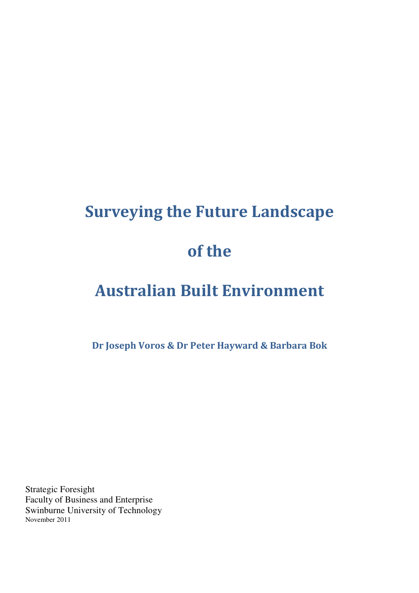# Surveying the Future Landscape of the

# Australian Built Environment

Dr Joseph Voros & Dr Peter Hayward & Barbara Bok

Strategic Foresight Faculty of Business and Enterprise Swinburne University of Technology November 2011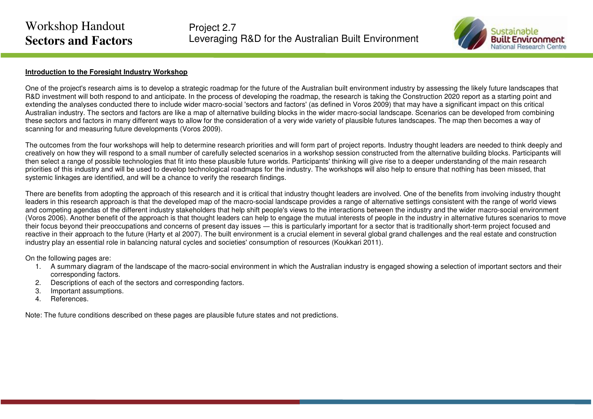Project 2.7 Leveraging R&D for the Australian Built Environment



#### **Introduction to the Foresight Industry Workshop**

One of the project's research aims is to develop a strategic roadmap for the future of the Australian built environment industry by assessing the likely future landscapes that R&D investment will both respond to and anticipate. In the process of developing the roadmap, the research is taking the Construction 2020 report as a starting point and extending the analyses conducted there to include wider macro-social 'sectors and factors' (as defined in Voros 2009) that may have a significant impact on this critical Australian industry. The sectors and factors are like a map of alternative building blocks in the wider macro-social landscape. Scenarios can be developed from combining these sectors and factors in many different ways to allow for the consideration of a very wide variety of plausible futures landscapes. The map then becomes a way of scanning for and measuring future developments (Voros 2009).

The outcomes from the four workshops will help to determine research priorities and will form part of project reports. Industry thought leaders are needed to think deeply and creatively on how they will respond to a small number of carefully selected scenarios in a workshop session constructed from the alternative building blocks. Participants will then select a range of possible technologies that fit into these plausible future worlds. Participants' thinking will give rise to a deeper understanding of the main research priorities of this industry and will be used to develop technological roadmaps for the industry. The workshops will also help to ensure that nothing has been missed, that systemic linkages are identified, and will be a chance to verify the research findings.

There are benefits from adopting the approach of this research and it is critical that industry thought leaders are involved. One of the benefits from involving industry thought leaders in this research approach is that the developed map of the macro-social landscape provides a range of alternative settings consistent with the range of world views and competing agendas of the different industry stakeholders that help shift people's views to the interactions between the industry and the wider macro-social environment (Voros 2006). Another benefit of the approach is that thought leaders can help to engage the mutual interests of people in the industry in alternative futures scenarios to move their focus beyond their preoccupations and concerns of present day issues ― this is particularly important for a sector that is traditionally short-term project focused and reactive in their approach to the future (Harty et al 2007). The built environment is a crucial element in several global grand challenges and the real estate and construction industry play an essential role in balancing natural cycles and societies' consumption of resources (Koukkari 2011).

On the following pages are:

- 1. A summary diagram of the landscape of the macro-social environment in which the Australian industry is engaged showing a selection of important sectors and their corresponding factors.
- 2. Descriptions of each of the sectors and corresponding factors.
- 3. Important assumptions.
- 4. References.

Note: The future conditions described on these pages are plausible future states and not predictions.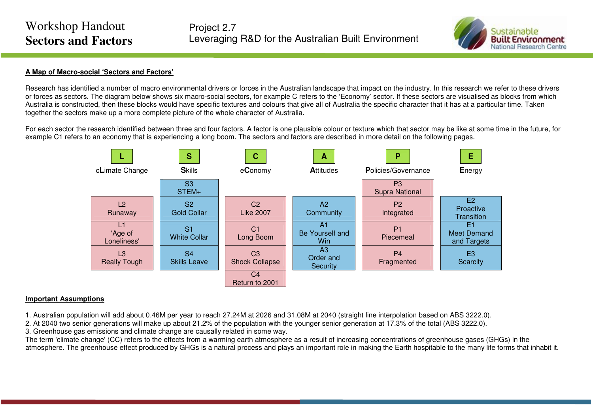

## **A Map of Macro-social 'Sectors and Factors'**

Research has identified a number of macro environmental drivers or forces in the Australian landscape that impact on the industry. In this research we refer to these drivers or forces as sectors. The diagram below shows six macro-social sectors, for example C refers to the 'Economy' sector. If these sectors are visualised as blocks from which Australia is constructed, then these blocks would have specific textures and colours that give all of Australia the specific character that it has at a particular time. Taken together the sectors make up a more complete picture of the whole character of Australia.

For each sector the research identified between three and four factors. A factor is one plausible colour or texture which that sector may be like at some time in the future, for example C1 refers to an economy that is experiencing a long boom. The sectors and factors are described in more detail on the following pages.



## **Important Assumptions**

1. Australian population will add about 0.46M per year to reach 27.24M at 2026 and 31.08M at 2040 (straight line interpolation based on ABS 3222.0).

2. At 2040 two senior generations will make up about 21.2% of the population with the younger senior generation at 17.3% of the total (ABS 3222.0).

3. Greenhouse gas emissions and climate change are causally related in some way.

 The term 'climate change' (CC) refers to the effects from a warming earth atmosphere as a result of increasing concentrations of greenhouse gases (GHGs) in the atmosphere. The greenhouse effect produced by GHGs is a natural process and plays an important role in making the Earth hospitable to the many life forms that inhabit it.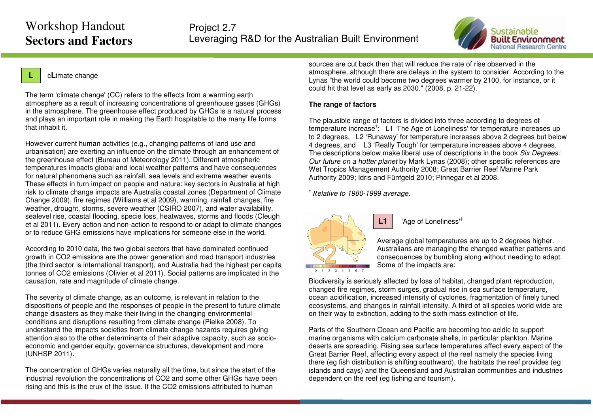Project 2.7 Leveraging R&D for the Australian Built Environment



## <sup>c</sup>**L**imate change

**L**

The term 'climate change' (CC) refers to the effects from a warming earth atmosphere as a result of increasing concentrations of greenhouse gases (GHGs) in the atmosphere. The greenhouse effect produced by GHGs is a natural process and plays an important role in making the Earth hospitable to the many life forms that inhabit it.

However current human activities (e.g., changing patterns of land use and urbanisation) are exerting an influence on the climate through an enhancement of the greenhouse effect (Bureau of Meteorology 2011). Different atmospheric temperatures impacts global and local weather patterns and have consequences for natural phenomena such as rainfall, sea levels and extreme weather events. These effects in turn impact on people and nature: key sectors in Australia at high risk to climate change impacts are Australia coastal zones (Department of Climate Change 2009), fire regimes (Williams et al 2009), warming, rainfall changes, fire weather, drought, storms, severe weather (CSIRO 2007), and water availability, sealevel rise, coastal flooding, specie loss, heatwaves, storms and floods (Cleugh et al 2011). Every action and non-action to respond to or adapt to climate changes or to reduce GHG emissions have implications for someone else in the world.

According to 2010 data, the two global sectors that have dominated continued growth in CO2 emissions are the power generation and road transport industries (the third sector is international transport), and Australia had the highest per capita tonnes of CO2 emissions (Olivier et al 2011). Social patterns are implicated in the causation, rate and magnitude of climate change.

The severity of climate change, as an outcome, is relevant in relation to the dispositions of people and the responses of people in the present to future climate change disasters as they make their living in the changing environmental conditions and disruptions resulting from climate change (Pielke 2008). To understand the impacts societies from climate change hazards requires giving attention also to the other determinants of their adaptive capacity, such as socioeconomic and gender equity, governance structures, development and more (UNHSP 2011).

The concentration of GHGs varies naturally all the time, but since the start of the industrial revolution the concentrations of CO2 and some other GHGs have been rising and this is the crux of the issue. If the CO2 emissions attributed to human

sources are cut back then that will reduce the rate of rise observed in the atmosphere, although there are delays in the system to consider. According to the Lynas "the world could become two degrees warmer by 2100, for instance, or it could hit that level as early as 2030." (2008, p. 21-22).

#### **The range of factors**

The plausible range of factors is divided into three according to degrees of temperature increase<sup>†</sup>: L1 'The Age of Loneliness' for temperature increases up to 2 degrees, L2 'Runaway' for temperature increases above 2 degrees but below 4 degrees, and L3 'Really Tough' for temperature increases above 4 degrees. The descriptions below make liberal use of descriptions in the book Six Degrees: Our future on a hotter planet by Mark Lynas (2008); other specific references are Wet Tropics Management Authority 2008; Great Barrier Reef Marine Park Authority 2009; Idris and Fünfgeld 2010; Pinnegar et al 2008.

† *<sup>R</sup>*elative to 1980-1999 average.

**L1**



1 Xge of Loneliness<sup>\*</sup>

Average global temperatures are up to 2 degrees higher. Australians are managing the changed weather patterns and consequences by bumbling along without needing to adapt. Some of the impacts are:

Biodiversity is seriously affected by loss of habitat, changed plant reproduction, changed fire regimes, storm surges, gradual rise in sea surface temperature, ocean acidification, increased intensity of cyclones, fragmentation of finely tuned ecosystems, and changes in rainfall intensity. A third of all species world wide are on their way to extinction, adding to the sixth mass extinction of life.

Parts of the Southern Ocean and Pacific are becoming too acidic to support marine organisms with calcium carbonate shells, in particular plankton. Marine deserts are spreading. Rising sea surface temperatures affect every aspect of the Great Barrier Reef, affecting every aspect of the reef namely the species living there (eg fish distribution is shifting southward), the habitats the reef provides (eg islands and cays) and the Queensland and Australian communities and industries dependent on the reef (eg fishing and tourism).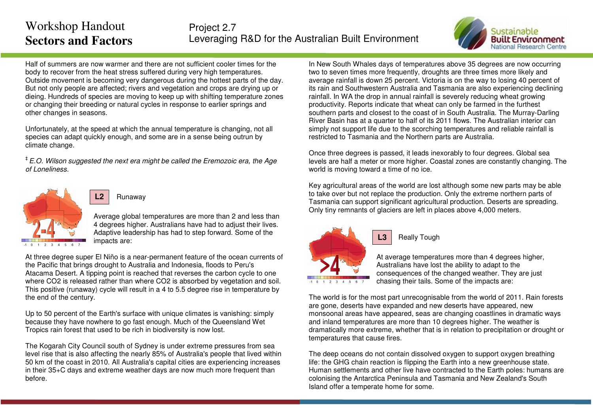

Half of summers are now warmer and there are not sufficient cooler times for the body to recover from the heat stress suffered during very high temperatures. Outside movement is becoming very dangerous during the hottest parts of the day. But not only people are affected; rivers and vegetation and crops are drying up or dieing. Hundreds of species are moving to keep up with shifting temperature zones or changing their breeding or natural cycles in response to earlier springs and other changes in seasons.

Unfortunately, at the speed at which the annual temperature is changing, not all species can adapt quickly enough, and some are in a sense being outrun by climate change.

 ${}^{\ddagger}$  E.O. Wilson suggested the next era might be called the Eremozoic era, the Age of Loneliness.



## Runaway

**L2**

Average global temperatures are more than 2 and less than 4 degrees higher. Australians have had to adjust their lives. Adaptive leadership has had to step forward. Some of the impacts are:

At three degree super El Niño is a near-permanent feature of the ocean currents of the Pacific that brings drought to Australia and Indonesia, floods to Peru's Atacama Desert. A tipping point is reached that reverses the carbon cycle to one where CO2 is released rather than where CO2 is absorbed by vegetation and soil. This positive (runaway) cycle will result in a 4 to 5.5 degree rise in temperature by the end of the century.

Up to 50 percent of the Earth's surface with unique climates is vanishing: simply because they have nowhere to go fast enough. Much of the Queensland Wet Tropics rain forest that used to be rich in biodiversity is now lost.

The Kogarah City Council south of Sydney is under extreme pressures from sea level rise that is also affecting the nearly 85% of Australia's people that lived within 50 km of the coast in 2010. All Australia's capital cities are experiencing increases in their 35+C days and extreme weather days are now much more frequent than before.

In New South Whales days of temperatures above 35 degrees are now occurring two to seven times more frequently, droughts are three times more likely and average rainfall is down 25 percent. Victoria is on the way to losing 40 percent of its rain and Southwestern Australia and Tasmania are also experiencing declining rainfall. In WA the drop in annual rainfall is severely reducing wheat growing productivity. Reports indicate that wheat can only be farmed in the furthest southern parts and closest to the coast of in South Australia. The Murray-Darling River Basin has at a quarter to half of its 2011 flows. The Australian interior can simply not support life due to the scorching temperatures and reliable rainfall is restricted to Tasmania and the Northern parts are Australia.

Once three degrees is passed, it leads inexorably to four degrees. Global sea levels are half a meter or more higher. Coastal zones are constantly changing. The world is moving toward a time of no ice.

Key agricultural areas of the world are lost although some new parts may be able to take over but not replace the production. Only the extreme northern parts of Tasmania can support significant agricultural production. Deserts are spreading. Only tiny remnants of glaciers are left in places above 4,000 meters.



## Really Tough

**L3**

At average temperatures more than 4 degrees higher,Australians have lost the ability to adapt to the consequences of the changed weather. They are just chasing their tails. Some of the impacts are:

The world is for the most part unrecognisable from the world of 2011. Rain forests are gone, deserts have expanded and new deserts have appeared, new monsoonal areas have appeared, seas are changing coastlines in dramatic ways and inland temperatures are more than 10 degrees higher. The weather is dramatically more extreme, whether that is in relation to precipitation or drought or temperatures that cause fires.

The deep oceans do not contain dissolved oxygen to support oxygen breathing life: the GHG chain reaction is flipping the Earth into a new greenhouse state. Human settlements and other live have contracted to the Earth poles: humans are colonising the Antarctica Peninsula and Tasmania and New Zealand's South Island offer a temperate home for some.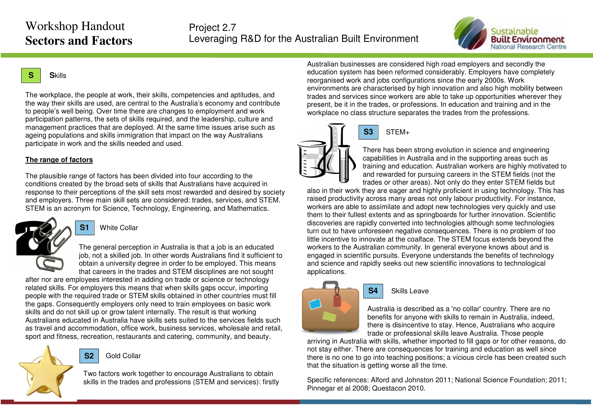

#### **SS**kills

The workplace, the people at work, their skills, competencies and aptitudes, and the way their skills are used, are central to the Australia's economy and contribute to people's well being. Over time there are changes to employment and work participation patterns, the sets of skills required, and the leadership, culture and management practices that are deployed. At the same time issues arise such as ageing populations and skills immigration that impact on the way Australians participate in work and the skills needed and used.

#### **The range of factors**

The plausible range of factors has been divided into four according to the conditions created by the broad sets of skills that Australians have acquired in response to their perceptions of the skill sets most rewarded and desired by society and employers. Three main skill sets are considered: trades, services, and STEM. STEM is an acronym for Science, Technology, Engineering, and Mathematics.



**S1**White Collar

The general perception in Australia is that a job is an educated job, not a skilled job. In other words Australians find it sufficient to obtain a university degree in order to be employed. This means that careers in the trades and STEM disciplines are not sought

after nor are employees interested in adding on trade or science or technology related skills. For employers this means that when skills gaps occur, importing people with the required trade or STEM skills obtained in other countries must fill the gaps. Consequently employers only need to train employees on basic work skills and do not skill up or grow talent internally. The result is that working Australians educated in Australia have skills sets suited to the services fields such as travel and accommodation, office work, business services, wholesale and retail, sport and fitness, recreation, restaurants and catering, community, and beauty.

#### **S2**Gold Collar

Two factors work together to encourage Australians to obtain skills in the trades and professions (STEM and services): firstly

Australian businesses are considered high road employers and secondly the education system has been reformed considerably. Employers have completely reorganised work and jobs configurations since the early 2000s. Work environments are characterised by high innovation and also high mobility between trades and services since workers are able to take up opportunities wherever they present, be it in the trades, or professions. In education and training and in the workplace no class structure separates the trades from the professions.



## STEM+

There has been strong evolution in science and engineering capabilities in Australia and in the supporting areas such as training and education. Australian workers are highly motivated to and rewarded for pursuing careers in the STEM fields (not the trades or other areas). Not only do they enter STEM fields but

 also in their work they are eager and highly proficient in using technology. This has raised productivity across many areas not only labour productivity. For instance, workers are able to assimilate and adopt new technologies very quickly and use them to their fullest extents and as springboards for further innovation. Scientific discoveries are rapidly converted into technologies although some technologies turn out to have unforeseen negative consequences. There is no problem of too little incentive to innovate at the coalface. The STEM focus extends beyond the workers to the Australian community. In general everyone knows about and is engaged in scientific pursuits. Everyone understands the benefits of technology and science and rapidly seeks out new scientific innovations to technological applications.



#### Skills Leave

**S4**

Australia is described as a 'no collar' country. There are no benefits for anyone with skills to remain in Australia, indeed, there is disincentive to stay. Hence, Australians who acquire trade or professional skills leave Australia. Those people

 arriving in Australia with skills, whether imported to fill gaps or for other reasons, do not stay either. There are consequences for training and education as well since there is no one to go into teaching positions; a vicious circle has been created such that the situation is getting worse all the time.

Specific references: Alford and Johnston 2011; National Science Foundation; 2011; Pinnegar et al 2008; Questacon 2010.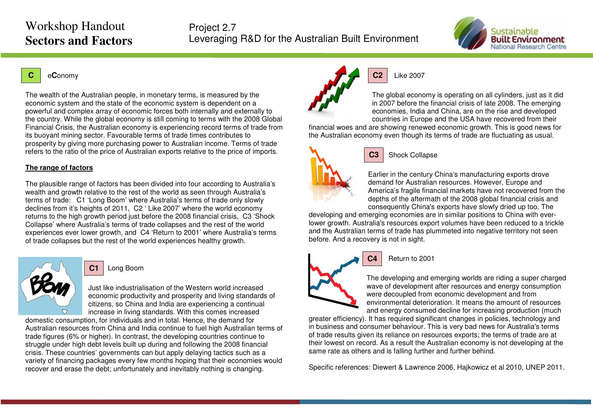Project 2.7 Leveraging R&D for the Australian Built Environment



#### **C**<sup>e</sup>**C**onomy

The wealth of the Australian people, in monetary terms, is measured by the economic system and the state of the economic system is dependent on a powerful and complex array of economic forces both internally and externally to the country. While the global economy is still coming to terms with the 2008 Global Financial Crisis, the Australian economy is experiencing record terms of trade from its buoyant mining sector. Favourable terms of trade times contributes to prosperity by giving more purchasing power to Australian income. Terms of trade refers to the ratio of the price of Australian exports relative to the price of imports.

#### **The range of factors**

The plausible range of factors has been divided into four according to Australia's wealth and growth relative to the rest of the world as seen through Australia's terms of trade: C1 'Long Boom' where Australia's terms of trade only slowly declines from it's heights of 2011, C2 ' Like 2007' where the world economy returns to the high growth period just before the 2008 financial crisis, C3 'Shock Collapse' where Australia's terms of trade collapses and the rest of the world experiences ever lower growth, and C4 'Return to 2001' where Australia's terms of trade collapses but the rest of the world experiences healthy growth.



**C1**Long Boom

Just like industrialisation of the Western world increased economic productivity and prosperity and living standards of citizens, so China and India are experiencing a continual increase in living standards. With this comes increased

domestic consumption, for individuals and in total. Hence, the demand for Australian resources from China and India continue to fuel high Australian terms of trade figures (6% or higher). In contrast, the developing countries continue to struggle under high debt levels built up during and following the 2008 financial crisis. These countries' governments can but apply delaying tactics such as a variety of financing packages every few months hoping that their economies would recover and erase the debt; unfortunately and inevitably nothing is changing.



#### **C2**Like 2007

The global economy is operating on all cylinders, just as it did in 2007 before the financial crisis of late 2008. The emerging economies, India and China, are on the rise and developed countries in Europe and the USA have recovered from their

 financial woes and are showing renewed economic growth. This is good news for the Australian economy even though its terms of trade are fluctuating as usual.



#### **C3**Shock Collapse

Earlier in the century China's manufacturing exports drove demand for Australian resources. However, Europe and America's fragile financial markets have not recovered from the depths of the aftermath of the 2008 global financial crisis and consequently China's exports have slowly dried up too. The

 developing and emerging economies are in similar positions to China with everlower growth. Australia's resources export volumes have been reduced to a trickle and the Australian terms of trade has plummeted into negative territory not seen before. And a recovery is not in sight.



## Return to 2001

**C4**

The developing and emerging worlds are riding a super charged wave of development after resources and energy consumption were decoupled from economic development and from environmental deterioration. It means the amount of resources and energy consumed decline for increasing production (much

 greater efficiency). It has required significant changes in policies, technology and in business and consumer behaviour. This is very bad news for Australia's terms of trade results given its reliance on resources exports; the terms of trade are at their lowest on record. As a result the Australian economy is not developing at the same rate as others and is falling further and further behind.

Specific references: Diewert & Lawrence 2006, Hajkowicz et al 2010, UNEP 2011.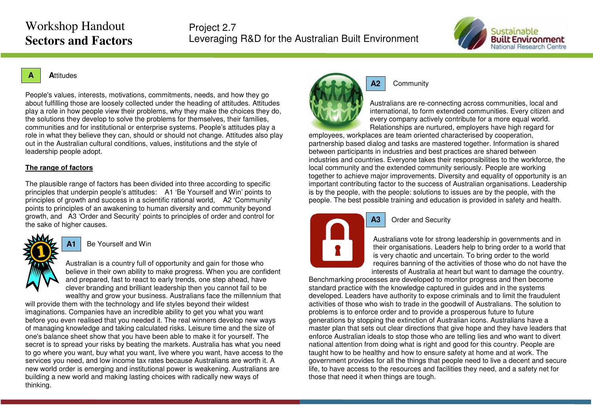

#### **A<sup>A</sup>**ttitudes

People's values, interests, motivations, commitments, needs, and how they go about fulfilling those are loosely collected under the heading of attitudes. Attitudes play a role in how people view their problems, why they make the choices they do, the solutions they develop to solve the problems for themselves, their families, communities and for institutional or enterprise systems. People's attitudes play a role in what they believe they can, should or should not change. Attitudes also play out in the Australian cultural conditions, values, institutions and the style of leadership people adopt.

#### **The range of factors**

The plausible range of factors has been divided into three according to specific principles that underpin people's attitudes: A1 'Be Yourself and Win' points to principles of growth and success in a scientific rational world, A2 'Community' points to principles of an awakening to human diversity and community beyond growth, and A3 'Order and Security' points to principles of order and control for the sake of higher causes.



**A1**Be Yourself and Win

Australian is a country full of opportunity and gain for those who believe in their own ability to make progress. When you are confident and prepared, fast to react to early trends, one step ahead, have clever branding and brilliant leadership then you cannot fail to be wealthy and grow your business. Australians face the millennium that

will provide them with the technology and life styles beyond their wildest imaginations. Companies have an incredible ability to get you what you want before you even realised that you needed it. The real winners develop new ways of managing knowledge and taking calculated risks. Leisure time and the size of one's balance sheet show that you have been able to make it for yourself. The secret is to spread your risks by beating the markets. Australia has what you need to go where you want, buy what you want, live where you want, have access to the services you need, and low income tax rates because Australians are worth it. A new world order is emerging and institutional power is weakening. Australians are building a new world and making lasting choices with radically new ways of thinking.



#### **Community**

Australians are re-connecting across communities, local and international, to form extended communities. Every citizen and every company actively contribute for a more equal world. Relationships are nurtured, employers have high regard for

employees, workplaces are team oriented characterised by cooperation, partnership based dialog and tasks are mastered together. Information is shared between participants in industries and best practices are shared between industries and countries. Everyone takes their responsibilities to the workforce, the local community and the extended community seriously. People are working together to achieve major improvements. Diversity and equality of opportunity is an important contributing factor to the success of Australian organisations. Leadership is by the people, with the people: solutions to issues are by the people, with the people. The best possible training and education is provided in safety and health.



## Order and Security

**A3**

Australians vote for strong leadership in governments and in their organisations. Leaders help to bring order to a world that is very chaotic and uncertain. To bring order to the world requires banning of the activities of those who do not have the interests of Australia at heart but want to damage the country.

Benchmarking processes are developed to monitor progress and then become standard practice with the knowledge captured in guides and in the systems developed. Leaders have authority to expose criminals and to limit the fraudulent activities of those who wish to trade in the goodwill of Australians. The solution to problems is to enforce order and to provide a prosperous future to future generations by stopping the extinction of Australian icons. Australians have a master plan that sets out clear directions that give hope and they have leaders that enforce Australian ideals to stop those who are telling lies and who want to divert national attention from doing what is right and good for this country. People are taught how to be healthy and how to ensure safety at home and at work. The government provides for all the things that people need to live a decent and secure life, to have access to the resources and facilities they need, and a safety net for those that need it when things are tough.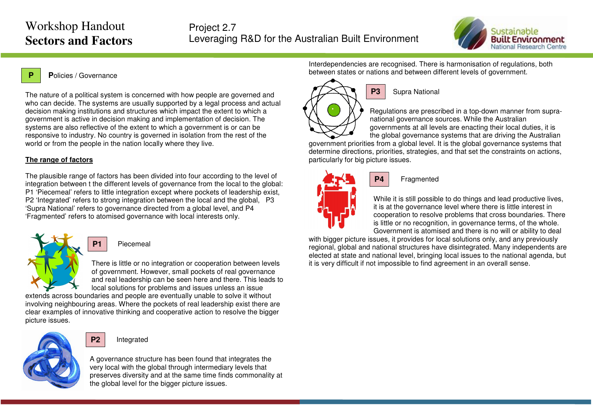

#### **P<sup>P</sup>**olicies / Governance

The nature of a political system is concerned with how people are governed and who can decide. The systems are usually supported by a legal process and actual decision making institutions and structures which impact the extent to which a government is active in decision making and implementation of decision. The systems are also reflective of the extent to which a government is or can be responsive to industry. No country is governed in isolation from the rest of the world or from the people in the nation locally where they live.

#### **The range of factors**

The plausible range of factors has been divided into four according to the level of integration between t the different levels of governance from the local to the global: P1 'Piecemeal' refers to little integration except where pockets of leadership exist, P2 'Integrated' refers to strong integration between the local and the global, P3 'Supra National' refers to governance directed from a global level, and P4 'Fragmented' refers to atomised governance with local interests only.

Piecemeal

**P1**

**P2**

There is little or no integration or cooperation between levels of government. However, small pockets of real governance and real leadership can be seen here and there. This leads to local solutions for problems and issues unless an issue

 extends across boundaries and people are eventually unable to solve it without involving neighbouring areas. Where the pockets of real leadership exist there are clear examples of innovative thinking and cooperative action to resolve the bigger picture issues.



## Integrated

A governance structure has been found that integrates the very local with the global through intermediary levels that preserves diversity and at the same time finds commonality at the global level for the bigger picture issues.

Interdependencies are recognised. There is harmonisation of regulations, both between states or nations and between different levels of government.



## Supra National

Regulations are prescribed in a top-down manner from supranational governance sources. While the Australian governments at all levels are enacting their local duties, it is the global governance systems that are driving the Australian

 government priorities from a global level. It is the global governance systems that determine directions, priorities, strategies, and that set the constraints on actions, particularly for big picture issues.



#### Fragmented

**P4**

While it is still possible to do things and lead productive lives, it is at the governance level where there is little interest in cooperation to resolve problems that cross boundaries. There is little or no recognition, in governance terms, of the whole. Government is atomised and there is no will or ability to deal

with bigger picture issues, it provides for local solutions only, and any previously regional, global and national structures have disintegrated. Many independents are elected at state and national level, bringing local issues to the national agenda, but it is very difficult if not impossible to find agreement in an overall sense.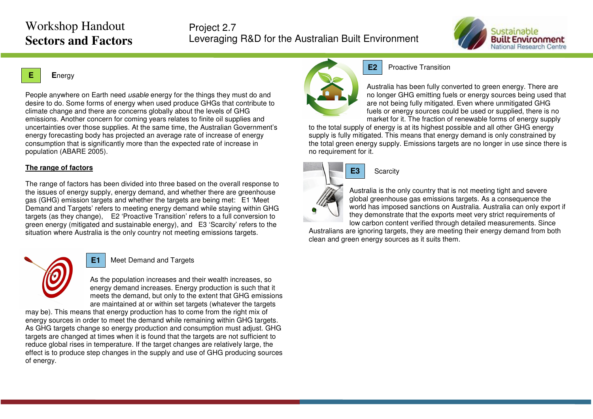Project 2.7 Leveraging R&D for the Australian Built Environment



## **E**



People anywhere on Earth need *usable* energy for the things they must do and desire to do. Some forms of energy when used produce GHGs that contribute to climate change and there are concerns globally about the levels of GHG emissions. Another concern for coming years relates to finite oil supplies and uncertainties over those supplies. At the same time, the Australian Government's energy forecasting body has projected an average rate of increase of energy consumption that is significantly more than the expected rate of increase in population (ABARE 2005).

## **The range of factors**

The range of factors has been divided into three based on the overall response to the issues of energy supply, energy demand, and whether there are greenhouse gas (GHG) emission targets and whether the targets are being met: E1 'Meet Demand and Targets' refers to meeting energy demand while staying within GHG targets (as they change), E2 'Proactive Transition' refers to a full conversion to green energy (mitigated and sustainable energy), and E3 'Scarcity' refers to the situation where Australia is the only country not meeting emissions targets.



#### **E1**Meet Demand and Targets

As the population increases and their wealth increases, so energy demand increases. Energy production is such that it meets the demand, but only to the extent that GHG emissions are maintained at or within set targets (whatever the targets

may be). This means that energy production has to come from the right mix of energy sources in order to meet the demand while remaining within GHG targets. As GHG targets change so energy production and consumption must adjust. GHG targets are changed at times when it is found that the targets are not sufficient to reduce global rises in temperature. If the target changes are relatively large, the effect is to produce step changes in the supply and use of GHG producing sources of energy.



## Proactive Transition

Australia has been fully converted to green energy. There are no longer GHG emitting fuels or energy sources being used that are not being fully mitigated. Even where unmitigated GHG fuels or energy sources could be used or supplied, there is no market for it. The fraction of renewable forms of energy supply

to the total supply of energy is at its highest possible and all other GHG energy supply is fully mitigated. This means that energy demand is only constrained by the total green energy supply. Emissions targets are no longer in use since there is no requirement for it.



## **Scarcity**

**E2**

Australia is the only country that is not meeting tight and severe global greenhouse gas emissions targets. As a consequence the world has imposed sanctions on Australia. Australia can only export if they demonstrate that the exports meet very strict requirements of low carbon content verified through detailed measurements. Since

 Australians are ignoring targets, they are meeting their energy demand from both clean and green energy sources as it suits them.